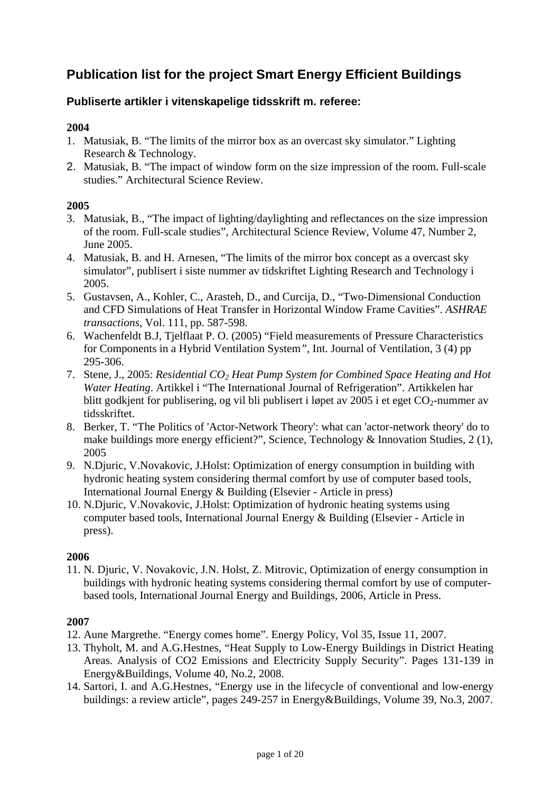# **Publication list for the project Smart Energy Efficient Buildings**

# **Publiserte artikler i vitenskapelige tidsskrift m. referee:**

### **2004**

- 1. Matusiak, B. "The limits of the mirror box as an overcast sky simulator." Lighting Research & Technology.
- 2. Matusiak, B. "The impact of window form on the size impression of the room. Full-scale studies." Architectural Science Review.

#### **2005**

- 3. Matusiak, B., "The impact of lighting/daylighting and reflectances on the size impression of the room. Full-scale studies", Architectural Science Review, Volume 47, Number 2, June 2005.
- 4. Matusiak, B. and H. Arnesen, "The limits of the mirror box concept as a overcast sky simulator", publisert i siste nummer av tidskriftet Lighting Research and Technology i 2005.
- 5. Gustavsen, A., Kohler, C., Arasteh, D., and Curcija, D., "Two-Dimensional Conduction and CFD Simulations of Heat Transfer in Horizontal Window Frame Cavities". *ASHRAE transactions*, Vol. 111, pp. 587-598.
- 6. Wachenfeldt B.J, Tjelflaat P. O. (2005) "Field measurements of Pressure Characteristics for Components in a Hybrid Ventilation System*"*, Int. Journal of Ventilation, 3 (4) pp 295-306.
- 7. Stene, J., 2005: *Residential CO2 Heat Pump System for Combined Space Heating and Hot Water Heating*. Artikkel i "The International Journal of Refrigeration". Artikkelen har blitt godkjent for publisering, og vil bli publisert i løpet av 2005 i et eget  $CO_2$ -nummer av tidsskriftet.
- 8. Berker, T. "The Politics of 'Actor-Network Theory': what can 'actor-network theory' do to make buildings more energy efficient?", Science, Technology & Innovation Studies, 2 (1), 2005
- 9. N.Djuric, V.Novakovic, J.Holst: Optimization of energy consumption in building with hydronic heating system considering thermal comfort by use of computer based tools, International Journal Energy & Building (Elsevier - Article in press)
- 10. N.Djuric, V.Novakovic, J.Holst: Optimization of hydronic heating systems using computer based tools, International Journal Energy & Building (Elsevier - Article in press).

#### **2006**

11. N. Djuric, V. Novakovic, J.N. Holst, Z. Mitrovic, Optimization of energy consumption in buildings with hydronic heating systems considering thermal comfort by use of computerbased tools, International Journal Energy and Buildings, 2006, Article in Press.

- 12. Aune Margrethe. "Energy comes home". Energy Policy, Vol 35, Issue 11, 2007.
- 13. Thyholt, M. and A.G.Hestnes, "Heat Supply to Low-Energy Buildings in District Heating Areas. Analysis of CO2 Emissions and Electricity Supply Security". Pages 131-139 in Energy&Buildings, Volume 40, No.2, 2008.
- 14. Sartori, I. and A.G.Hestnes, "Energy use in the lifecycle of conventional and low-energy buildings: a review article", pages 249-257 in Energy&Buildings, Volume 39, No.3, 2007.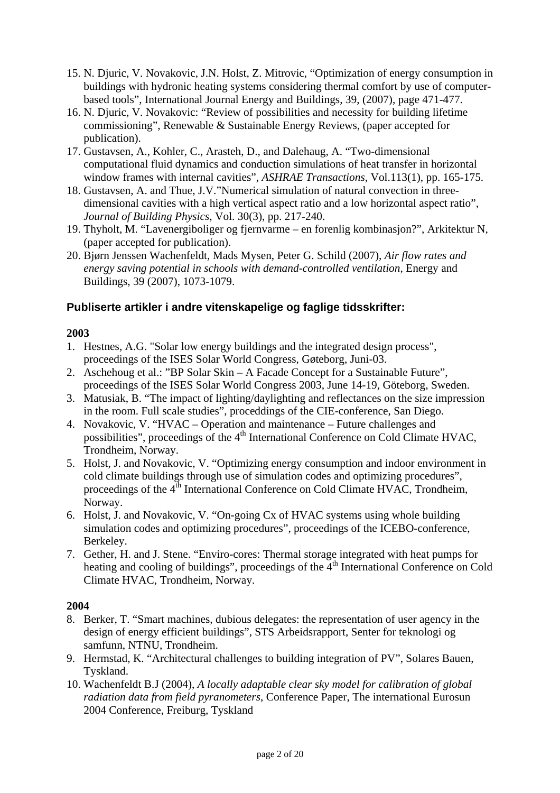- 15. N. Djuric, V. Novakovic, J.N. Holst, Z. Mitrovic, "Optimization of energy consumption in buildings with hydronic heating systems considering thermal comfort by use of computerbased tools", International Journal Energy and Buildings, 39, (2007), page 471-477.
- 16. N. Djuric, V. Novakovic: "Review of possibilities and necessity for building lifetime commissioning", Renewable & Sustainable Energy Reviews, (paper accepted for publication).
- 17. Gustavsen, A., Kohler, C., Arasteh, D., and Dalehaug, A. "Two-dimensional computational fluid dynamics and conduction simulations of heat transfer in horizontal window frames with internal cavities", *ASHRAE Transactions*, Vol.113(1), pp. 165-175.
- 18. Gustavsen, A. and Thue, J.V."Numerical simulation of natural convection in threedimensional cavities with a high vertical aspect ratio and a low horizontal aspect ratio", *Journal of Building Physics*, Vol. 30(3), pp. 217-240.
- 19. Thyholt, M. "Lavenergiboliger og fjernvarme en forenlig kombinasjon?", Arkitektur N, (paper accepted for publication).
- 20. Bjørn Jenssen Wachenfeldt, Mads Mysen, Peter G. Schild (2007), *Air flow rates and energy saving potential in schools with demand-controlled ventilation*, Energy and Buildings, 39 (2007), 1073-1079.

# **Publiserte artikler i andre vitenskapelige og faglige tidsskrifter:**

### **2003**

- 1. Hestnes, A.G. "Solar low energy buildings and the integrated design process", proceedings of the ISES Solar World Congress, Gøteborg, Juni-03.
- 2. Aschehoug et al.: "BP Solar Skin A Facade Concept for a Sustainable Future", proceedings of the ISES Solar World Congress 2003, June 14-19, Göteborg, Sweden.
- 3. Matusiak, B. "The impact of lighting/daylighting and reflectances on the size impression in the room. Full scale studies", proceddings of the CIE-conference, San Diego.
- 4. Novakovic, V. "HVAC Operation and maintenance Future challenges and possibilities", proceedings of the 4<sup>th</sup> International Conference on Cold Climate HVAC, Trondheim, Norway.
- 5. Holst, J. and Novakovic, V. "Optimizing energy consumption and indoor environment in cold climate buildings through use of simulation codes and optimizing procedures", proceedings of the  $4<sup>th</sup>$  International Conference on Cold Climate HVAC, Trondheim, Norway.
- 6. Holst, J. and Novakovic, V. "On-going Cx of HVAC systems using whole building simulation codes and optimizing procedures", proceedings of the ICEBO-conference, Berkeley.
- 7. Gether, H. and J. Stene. "Enviro-cores: Thermal storage integrated with heat pumps for heating and cooling of buildings", proceedings of the  $4<sup>th</sup>$  International Conference on Cold Climate HVAC, Trondheim, Norway.

- 8. Berker, T. "Smart machines, dubious delegates: the representation of user agency in the design of energy efficient buildings", STS Arbeidsrapport, Senter for teknologi og samfunn, NTNU, Trondheim.
- 9. Hermstad, K. "Architectural challenges to building integration of PV", Solares Bauen, Tyskland.
- 10. Wachenfeldt B.J (2004), *A locally adaptable clear sky model for calibration of global radiation data from field pyranometers*, Conference Paper, The international Eurosun 2004 Conference, Freiburg, Tyskland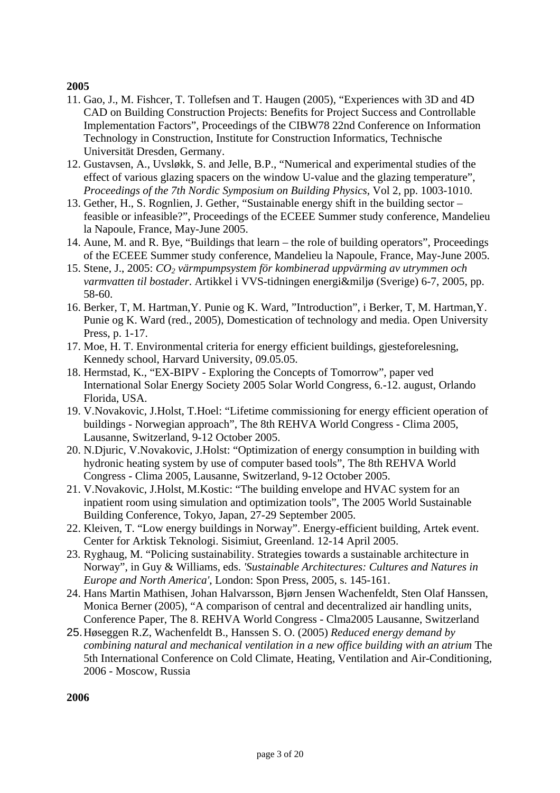- 11. Gao, J., M. Fishcer, T. Tollefsen and T. Haugen (2005), "Experiences with 3D and 4D CAD on Building Construction Projects: Benefits for Project Success and Controllable Implementation Factors", Proceedings of the CIBW78 22nd Conference on Information Technology in Construction, Institute for Construction Informatics, Technische Universität Dresden, Germany.
- 12. Gustavsen, A., Uvsløkk, S. and Jelle, B.P., "Numerical and experimental studies of the effect of various glazing spacers on the window U-value and the glazing temperature", *Proceedings of the 7th Nordic Symposium on Building Physics*, Vol 2, pp. 1003-1010.
- 13. Gether, H., S. Rognlien, J. Gether, "Sustainable energy shift in the building sector feasible or infeasible?", Proceedings of the ECEEE Summer study conference, Mandelieu la Napoule, France, May-June 2005.
- 14. Aune, M. and R. Bye, "Buildings that learn the role of building operators", Proceedings of the ECEEE Summer study conference, Mandelieu la Napoule, France, May-June 2005.
- 15. Stene, J., 2005: *CO2 värmpumpsystem för kombinerad uppvärming av utrymmen och varmvatten til bostader*. Artikkel i VVS-tidningen energi&miljø (Sverige) 6-7, 2005, pp. 58-60.
- 16. Berker, T, M. Hartman,Y. Punie og K. Ward, "Introduction", i Berker, T, M. Hartman,Y. Punie og K. Ward (red., 2005), Domestication of technology and media. Open University Press, p. 1-17.
- 17. Moe, H. T. Environmental criteria for energy efficient buildings, gjesteforelesning, Kennedy school, Harvard University, 09.05.05.
- 18. Hermstad, K., "EX-BIPV Exploring the Concepts of Tomorrow", paper ved International Solar Energy Society 2005 Solar World Congress, 6.-12. august, Orlando Florida, USA.
- 19. V.Novakovic, J.Holst, T.Hoel: "Lifetime commissioning for energy efficient operation of buildings - Norwegian approach", The 8th REHVA World Congress - Clima 2005, Lausanne, Switzerland, 9-12 October 2005.
- 20. N.Djuric, V.Novakovic, J.Holst: "Optimization of energy consumption in building with hydronic heating system by use of computer based tools", The 8th REHVA World Congress - Clima 2005, Lausanne, Switzerland, 9-12 October 2005.
- 21. V.Novakovic, J.Holst, M.Kostic: "The building envelope and HVAC system for an inpatient room using simulation and optimization tools", The 2005 World Sustainable Building Conference, Tokyo, Japan, 27-29 September 2005.
- 22. Kleiven, T. "Low energy buildings in Norway". Energy-efficient building, Artek event. Center for Arktisk Teknologi. Sisimiut, Greenland. 12-14 April 2005.
- 23. Ryghaug, M. "Policing sustainability. Strategies towards a sustainable architecture in Norway", in Guy & Williams, eds. *'Sustainable Architectures: Cultures and Natures in Europe and North America'*, London: Spon Press, 2005, s. 145-161.
- 24. Hans Martin Mathisen, Johan Halvarsson, Bjørn Jensen Wachenfeldt, Sten Olaf Hanssen, Monica Berner (2005), "A comparison of central and decentralized air handling units, Conference Paper, The 8. REHVA World Congress - Clma2005 Lausanne, Switzerland
- 25. Høseggen R.Z, Wachenfeldt B., Hanssen S. O. (2005) *Reduced energy demand by combining natural and mechanical ventilation in a new office building with an atrium* The 5th International Conference on Cold Climate, Heating, Ventilation and Air-Conditioning, 2006 - Moscow, Russia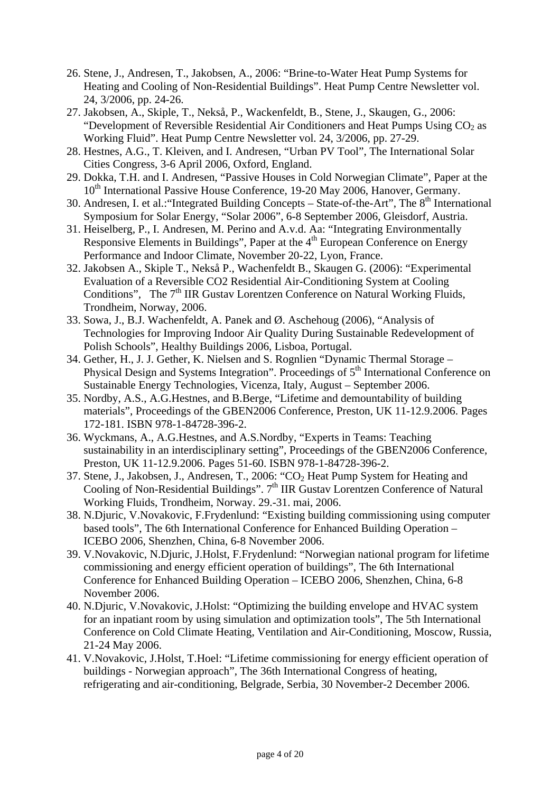- 26. Stene, J., Andresen, T., Jakobsen, A., 2006: "Brine-to-Water Heat Pump Systems for Heating and Cooling of Non-Residential Buildings". Heat Pump Centre Newsletter vol. 24, 3/2006, pp. 24-26.
- 27. Jakobsen, A., Skiple, T., Nekså, P., Wackenfeldt, B., Stene, J., Skaugen, G., 2006: "Development of Reversible Residential Air Conditioners and Heat Pumps Using  $CO<sub>2</sub>$  as Working Fluid". Heat Pump Centre Newsletter vol. 24, 3/2006, pp. 27-29.
- 28. Hestnes, A.G., T. Kleiven, and I. Andresen, "Urban PV Tool", The International Solar Cities Congress, 3-6 April 2006, Oxford, England.
- 29. Dokka, T.H. and I. Andresen, "Passive Houses in Cold Norwegian Climate", Paper at the 10<sup>th</sup> International Passive House Conference, 19-20 May 2006, Hanover, Germany.
- 30. Andresen, I. et al.: ''Integrated Building Concepts State-of-the-Art''. The 8<sup>th</sup> International Symposium for Solar Energy, "Solar 2006", 6-8 September 2006, Gleisdorf, Austria.
- 31. Heiselberg, P., I. Andresen, M. Perino and A.v.d. Aa: "Integrating Environmentally Responsive Elements in Buildings", Paper at the  $4<sup>th</sup>$  European Conference on Energy Performance and Indoor Climate, November 20-22, Lyon, France.
- 32. Jakobsen A., Skiple T., Nekså P., Wachenfeldt B., Skaugen G. (2006): "Experimental Evaluation of a Reversible CO2 Residential Air-Conditioning System at Cooling Conditions", The 7<sup>th</sup> IIR Gustav Lorentzen Conference on Natural Working Fluids, Trondheim, Norway, 2006.
- 33. Sowa, J., B.J. Wachenfeldt, A. Panek and Ø. Aschehoug (2006), "Analysis of Technologies for Improving Indoor Air Quality During Sustainable Redevelopment of Polish Schools", Healthy Buildings 2006, Lisboa, Portugal.
- 34. Gether, H., J. J. Gether, K. Nielsen and S. Rognlien "Dynamic Thermal Storage Physical Design and Systems Integration". Proceedings of  $5<sup>th</sup>$  International Conference on Sustainable Energy Technologies, Vicenza, Italy, August – September 2006.
- 35. Nordby, A.S., A.G.Hestnes, and B.Berge, "Lifetime and demountability of building materials", Proceedings of the GBEN2006 Conference, Preston, UK 11-12.9.2006. Pages 172-181. ISBN 978-1-84728-396-2.
- 36. Wyckmans, A., A.G.Hestnes, and A.S.Nordby, "Experts in Teams: Teaching sustainability in an interdisciplinary setting", Proceedings of the GBEN2006 Conference, Preston, UK 11-12.9.2006. Pages 51-60. ISBN 978-1-84728-396-2.
- 37. Stene, J., Jakobsen, J., Andresen, T., 2006: "CO<sub>2</sub> Heat Pump System for Heating and Cooling of Non-Residential Buildings".  $7<sup>th</sup>$  IIR Gustav Lorentzen Conference of Natural Working Fluids, Trondheim, Norway. 29.-31. mai, 2006.
- 38. N.Djuric, V.Novakovic, F.Frydenlund: "Existing building commissioning using computer based tools", The 6th International Conference for Enhanced Building Operation – ICEBO 2006, Shenzhen, China, 6-8 November 2006.
- 39. V.Novakovic, N.Djuric, J.Holst, F.Frydenlund: "Norwegian national program for lifetime commissioning and energy efficient operation of buildings", The 6th International Conference for Enhanced Building Operation – ICEBO 2006, Shenzhen, China, 6-8 November 2006.
- 40. N.Djuric, V.Novakovic, J.Holst: "Optimizing the building envelope and HVAC system for an inpatiant room by using simulation and optimization tools", The 5th International Conference on Cold Climate Heating, Ventilation and Air-Conditioning, Moscow, Russia, 21-24 May 2006.
- 41. V.Novakovic, J.Holst, T.Hoel: "Lifetime commissioning for energy efficient operation of buildings - Norwegian approach", The 36th International Congress of heating, refrigerating and air-conditioning, Belgrade, Serbia, 30 November-2 December 2006.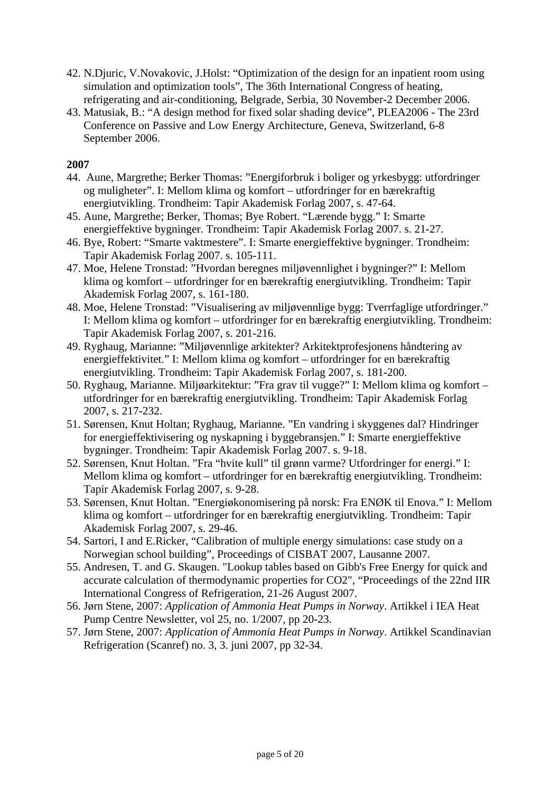- 42. N.Djuric, V.Novakovic, J.Holst: "Optimization of the design for an inpatient room using simulation and optimization tools", The 36th International Congress of heating, refrigerating and air-conditioning, Belgrade, Serbia, 30 November-2 December 2006.
- 43. Matusiak, B.: "A design method for fixed solar shading device", PLEA2006 The 23rd Conference on Passive and Low Energy Architecture, Geneva, Switzerland, 6-8 September 2006.

- 44. Aune, Margrethe; Berker Thomas: "Energiforbruk i boliger og yrkesbygg: utfordringer og muligheter". I: Mellom klima og komfort – utfordringer for en bærekraftig energiutvikling. Trondheim: Tapir Akademisk Forlag 2007, s. 47-64.
- 45. Aune, Margrethe; Berker, Thomas; Bye Robert. "Lærende bygg." I: Smarte energieffektive bygninger. Trondheim: Tapir Akademisk Forlag 2007. s. 21-27.
- 46. Bye, Robert: "Smarte vaktmestere". I: Smarte energieffektive bygninger. Trondheim: Tapir Akademisk Forlag 2007. s. 105-111.
- 47. Moe, Helene Tronstad: "Hvordan beregnes miljøvennlighet i bygninger?" I: Mellom klima og komfort – utfordringer for en bærekraftig energiutvikling. Trondheim: Tapir Akademisk Forlag 2007, s. 161-180.
- 48. Moe, Helene Tronstad: "Visualisering av miljøvennlige bygg: Tverrfaglige utfordringer." I: Mellom klima og komfort – utfordringer for en bærekraftig energiutvikling. Trondheim: Tapir Akademisk Forlag 2007, s. 201-216.
- 49. Ryghaug, Marianne: "Miljøvennlige arkitekter? Arkitektprofesjonens håndtering av energieffektivitet." I: Mellom klima og komfort – utfordringer for en bærekraftig energiutvikling. Trondheim: Tapir Akademisk Forlag 2007, s. 181-200.
- 50. Ryghaug, Marianne. Miljøarkitektur: "Fra grav til vugge?" I: Mellom klima og komfort utfordringer for en bærekraftig energiutvikling. Trondheim: Tapir Akademisk Forlag 2007, s. 217-232.
- 51. Sørensen, Knut Holtan; Ryghaug, Marianne. "En vandring i skyggenes dal? Hindringer for energieffektivisering og nyskapning i byggebransjen." I: Smarte energieffektive bygninger. Trondheim: Tapir Akademisk Forlag 2007. s. 9-18.
- 52. Sørensen, Knut Holtan. "Fra "hvite kull" til grønn varme? Utfordringer for energi." I: Mellom klima og komfort – utfordringer for en bærekraftig energiutvikling. Trondheim: Tapir Akademisk Forlag 2007, s. 9-28.
- 53. Sørensen, Knut Holtan. "Energiøkonomisering på norsk: Fra ENØK til Enova." I: Mellom klima og komfort – utfordringer for en bærekraftig energiutvikling. Trondheim: Tapir Akademisk Forlag 2007, s. 29-46.
- 54. Sartori, I and E.Ricker, "Calibration of multiple energy simulations: case study on a Norwegian school building", Proceedings of CISBAT 2007, Lausanne 2007.
- 55. Andresen, T. and G. Skaugen. "Lookup tables based on Gibb's Free Energy for quick and accurate calculation of thermodynamic properties for CO2", "Proceedings of the 22nd IIR International Congress of Refrigeration, 21-26 August 2007.
- 56. Jørn Stene, 2007: *Application of Ammonia Heat Pumps in Norway*. Artikkel i IEA Heat Pump Centre Newsletter, vol 25, no. 1/2007, pp 20-23.
- 57. Jørn Stene, 2007: *Application of Ammonia Heat Pumps in Norway*. Artikkel Scandinavian Refrigeration (Scanref) no. 3, 3. juni 2007, pp 32-34.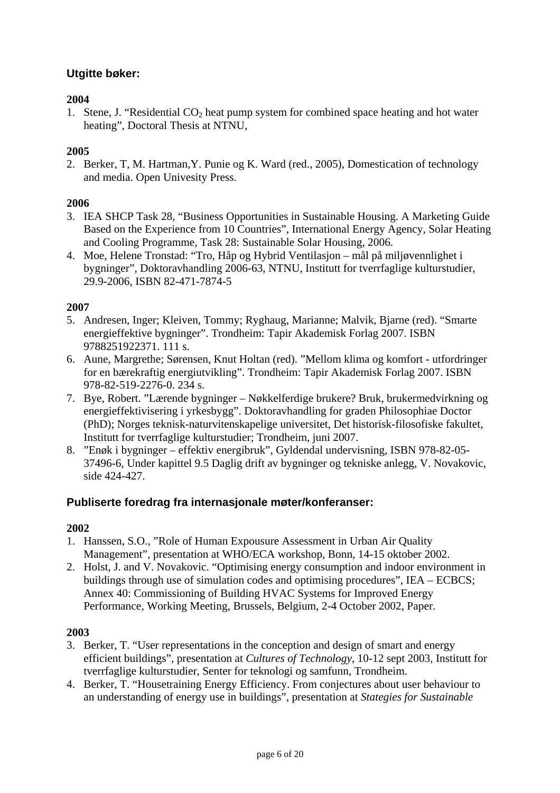# **Utgitte bøker:**

### **2004**

1. Stene, J. "Residential  $CO<sub>2</sub>$  heat pump system for combined space heating and hot water heating", Doctoral Thesis at NTNU,

### **2005**

2. Berker, T, M. Hartman,Y. Punie og K. Ward (red., 2005), Domestication of technology and media. Open Univesity Press.

#### **2006**

- 3. IEA SHCP Task 28, "Business Opportunities in Sustainable Housing. A Marketing Guide Based on the Experience from 10 Countries", International Energy Agency, Solar Heating and Cooling Programme, Task 28: Sustainable Solar Housing, 2006.
- 4. Moe, Helene Tronstad: "Tro, Håp og Hybrid Ventilasjon mål på miljøvennlighet i bygninger", Doktoravhandling 2006-63, NTNU, Institutt for tverrfaglige kulturstudier, 29.9-2006, ISBN 82-471-7874-5

#### **2007**

- 5. Andresen, Inger; Kleiven, Tommy; Ryghaug, Marianne; Malvik, Bjarne (red). "Smarte energieffektive bygninger". Trondheim: Tapir Akademisk Forlag 2007. ISBN 9788251922371. 111 s.
- 6. Aune, Margrethe; Sørensen, Knut Holtan (red). "Mellom klima og komfort utfordringer for en bærekraftig energiutvikling". Trondheim: Tapir Akademisk Forlag 2007. ISBN 978-82-519-2276-0. 234 s.
- 7. Bye, Robert. "Lærende bygninger Nøkkelferdige brukere? Bruk, brukermedvirkning og energieffektivisering i yrkesbygg". Doktoravhandling for graden Philosophiae Doctor (PhD); Norges teknisk-naturvitenskapelige universitet, Det historisk-filosofiske fakultet, Institutt for tverrfaglige kulturstudier; Trondheim, juni 2007.
- 8. "Enøk i bygninger effektiv energibruk", Gyldendal undervisning, ISBN 978-82-05- 37496-6, Under kapittel 9.5 Daglig drift av bygninger og tekniske anlegg, V. Novakovic, side 424-427.

### **Publiserte foredrag fra internasjonale møter/konferanser:**

### **2002**

- 1. Hanssen, S.O., "Role of Human Expousure Assessment in Urban Air Quality Management", presentation at WHO/ECA workshop, Bonn, 14-15 oktober 2002.
- 2. Holst, J. and V. Novakovic. "Optimising energy consumption and indoor environment in buildings through use of simulation codes and optimising procedures", IEA – ECBCS; Annex 40: Commissioning of Building HVAC Systems for Improved Energy Performance, Working Meeting, Brussels, Belgium, 2-4 October 2002, Paper.

- 3. Berker, T. "User representations in the conception and design of smart and energy efficient buildings", presentation at *Cultures of Technology*, 10-12 sept 2003, Institutt for tverrfaglige kulturstudier, Senter for teknologi og samfunn, Trondheim.
- 4. Berker, T. "Housetraining Energy Efficiency. From conjectures about user behaviour to an understanding of energy use in buildings", presentation at *Stategies for Sustainable*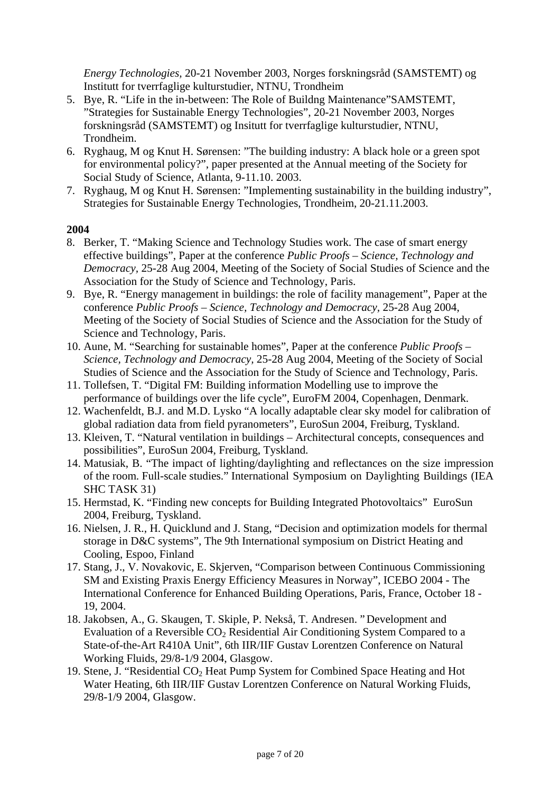*Energy Technologies,* 20-21 November 2003, Norges forskningsråd (SAMSTEMT) og Institutt for tverrfaglige kulturstudier, NTNU, Trondheim

- 5. Bye, R. "Life in the in-between: The Role of Buildng Maintenance"SAMSTEMT, "Strategies for Sustainable Energy Technologies", 20-21 November 2003, Norges forskningsråd (SAMSTEMT) og Insitutt for tverrfaglige kulturstudier, NTNU, Trondheim.
- 6. Ryghaug, M og Knut H. Sørensen: "The building industry: A black hole or a green spot for environmental policy?", paper presented at the Annual meeting of the Society for Social Study of Science, Atlanta, 9-11.10. 2003.
- 7. Ryghaug, M og Knut H. Sørensen: "Implementing sustainability in the building industry", Strategies for Sustainable Energy Technologies, Trondheim, 20-21.11.2003.

- 8. Berker, T. "Making Science and Technology Studies work. The case of smart energy effective buildings", Paper at the conference *Public Proofs – Science, Technology and Democracy,* 25-28 Aug 2004, Meeting of the Society of Social Studies of Science and the Association for the Study of Science and Technology, Paris.
- 9. Bye, R. "Energy management in buildings: the role of facility management", Paper at the conference *Public Proofs – Science, Technology and Democracy,* 25-28 Aug 2004, Meeting of the Society of Social Studies of Science and the Association for the Study of Science and Technology, Paris.
- 10. Aune, M. "Searching for sustainable homes", Paper at the conference *Public Proofs Science, Technology and Democracy,* 25-28 Aug 2004, Meeting of the Society of Social Studies of Science and the Association for the Study of Science and Technology, Paris.
- 11. Tollefsen, T. "Digital FM: Building information Modelling use to improve the performance of buildings over the life cycle", EuroFM 2004, Copenhagen, Denmark.
- 12. Wachenfeldt, B.J. and M.D. Lysko "A locally adaptable clear sky model for calibration of global radiation data from field pyranometers", EuroSun 2004, Freiburg, Tyskland.
- 13. Kleiven, T. "Natural ventilation in buildings Architectural concepts, consequences and possibilities", EuroSun 2004, Freiburg, Tyskland.
- 14. Matusiak, B. "The impact of lighting/daylighting and reflectances on the size impression of the room. Full-scale studies." International Symposium on Daylighting Buildings (IEA SHC TASK 31)
- 15. Hermstad, K. "Finding new concepts for Building Integrated Photovoltaics" EuroSun 2004, Freiburg, Tyskland.
- 16. Nielsen, J. R., H. Quicklund and J. Stang, "Decision and optimization models for thermal storage in D&C systems", The 9th International symposium on District Heating and Cooling, Espoo, Finland
- 17. Stang, J., V. Novakovic, E. Skjerven, "Comparison between Continuous Commissioning SM and Existing Praxis Energy Efficiency Measures in Norway", ICEBO 2004 - The International Conference for Enhanced Building Operations, Paris, France, October 18 - 19, 2004.
- 18. Jakobsen, A., G. Skaugen, T. Skiple, P. Nekså, T. Andresen. " Development and Evaluation of a Reversible  $CO<sub>2</sub>$  Residential Air Conditioning System Compared to a State-of-the-Art R410A Unit", 6th IIR/IIF Gustav Lorentzen Conference on Natural Working Fluids, 29/8-1/9 2004, Glasgow.
- 19. Stene, J. "Residential CO2 Heat Pump System for Combined Space Heating and Hot Water Heating, 6th IIR/IIF Gustav Lorentzen Conference on Natural Working Fluids, 29/8-1/9 2004, Glasgow.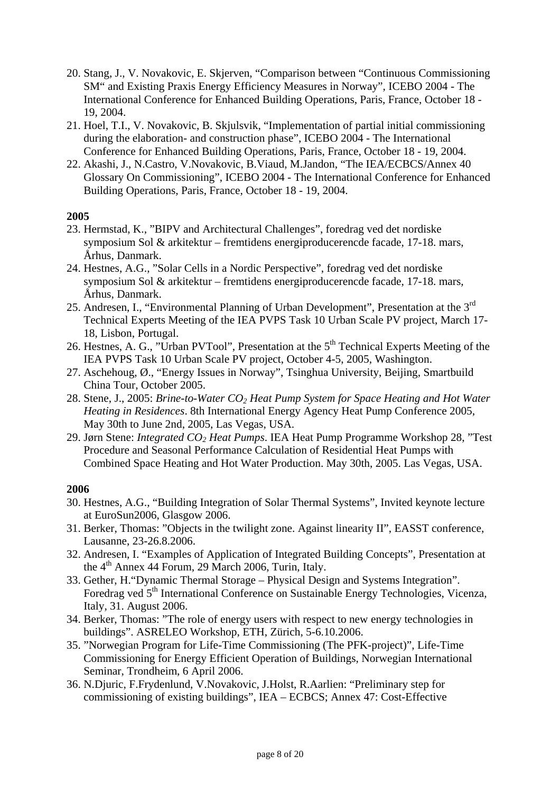- 20. Stang, J., V. Novakovic, E. Skjerven, "Comparison between "Continuous Commissioning SM" and Existing Praxis Energy Efficiency Measures in Norway", ICEBO 2004 - The International Conference for Enhanced Building Operations, Paris, France, October 18 - 19, 2004.
- 21. Hoel, T.I., V. Novakovic, B. Skjulsvik, "Implementation of partial initial commissioning during the elaboration- and construction phase", ICEBO 2004 - The International Conference for Enhanced Building Operations, Paris, France, October 18 - 19, 2004.
- 22. Akashi, J., N.Castro, V.Novakovic, B.Viaud, M.Jandon, "The IEA/ECBCS/Annex 40 Glossary On Commissioning", ICEBO 2004 - The International Conference for Enhanced Building Operations, Paris, France, October 18 - 19, 2004.

- 23. Hermstad, K., "BIPV and Architectural Challenges", foredrag ved det nordiske symposium Sol & arkitektur – fremtidens energiproducerencde facade, 17-18. mars, Århus, Danmark.
- 24. Hestnes, A.G., "Solar Cells in a Nordic Perspective", foredrag ved det nordiske symposium Sol & arkitektur – fremtidens energiproducerencde facade, 17-18. mars, Århus, Danmark.
- 25. Andresen, I., "Environmental Planning of Urban Development", Presentation at the 3<sup>rd</sup> Technical Experts Meeting of the IEA PVPS Task 10 Urban Scale PV project, March 17- 18, Lisbon, Portugal.
- 26. Hestnes, A. G., "Urban PVTool", Presentation at the  $5<sup>th</sup>$  Technical Experts Meeting of the IEA PVPS Task 10 Urban Scale PV project, October 4-5, 2005, Washington.
- 27. Aschehoug, Ø., "Energy Issues in Norway", Tsinghua University, Beijing, Smartbuild China Tour, October 2005.
- 28. Stene, J., 2005: *Brine-to-Water CO<sub>2</sub> Heat Pump System for Space Heating and Hot Water Heating in Residences*. 8th International Energy Agency Heat Pump Conference 2005, May 30th to June 2nd, 2005, Las Vegas, USA.
- 29. Jørn Stene: *Integrated CO2 Heat Pumps*. IEA Heat Pump Programme Workshop 28, "Test Procedure and Seasonal Performance Calculation of Residential Heat Pumps with Combined Space Heating and Hot Water Production. May 30th, 2005. Las Vegas, USA.

- 30. Hestnes, A.G., "Building Integration of Solar Thermal Systems", Invited keynote lecture at EuroSun2006, Glasgow 2006.
- 31. Berker, Thomas: "Objects in the twilight zone. Against linearity II", EASST conference, Lausanne, 23-26.8.2006.
- 32. Andresen, I. "Examples of Application of Integrated Building Concepts", Presentation at the  $4<sup>th</sup>$  Annex 44 Forum, 29 March 2006, Turin, Italy.
- 33. Gether, H."Dynamic Thermal Storage Physical Design and Systems Integration". Foredrag ved 5<sup>th</sup> International Conference on Sustainable Energy Technologies, Vicenza, Italy, 31. August 2006.
- 34. Berker, Thomas: "The role of energy users with respect to new energy technologies in buildings". ASRELEO Workshop, ETH, Zürich, 5-6.10.2006.
- 35. "Norwegian Program for Life-Time Commissioning (The PFK-project)", Life-Time Commissioning for Energy Efficient Operation of Buildings, Norwegian International Seminar, Trondheim, 6 April 2006.
- 36. N.Djuric, F.Frydenlund, V.Novakovic, J.Holst, R.Aarlien: "Preliminary step for commissioning of existing buildings", IEA – ECBCS; Annex 47: Cost-Effective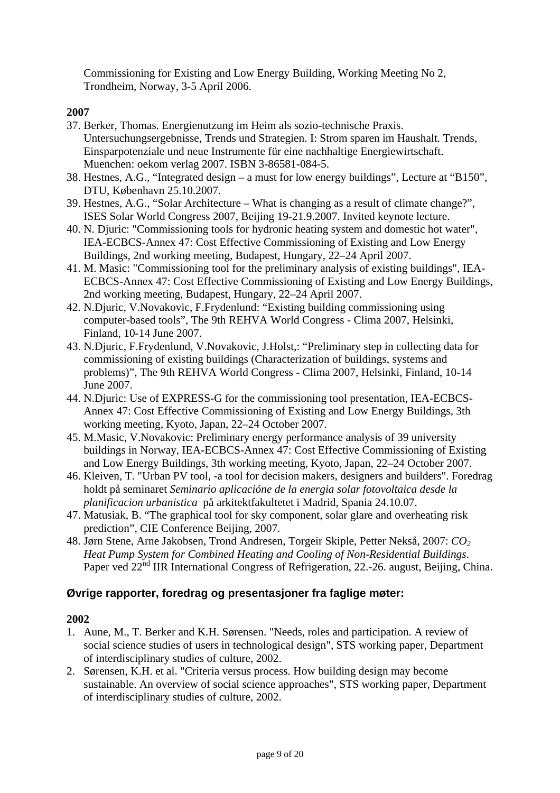Commissioning for Existing and Low Energy Building, Working Meeting No 2, Trondheim, Norway, 3-5 April 2006.

### **2007**

- 37. Berker, Thomas. Energienutzung im Heim als sozio-technische Praxis. Untersuchungsergebnisse, Trends und Strategien. I: Strom sparen im Haushalt. Trends, Einsparpotenziale und neue Instrumente für eine nachhaltige Energiewirtschaft. Muenchen: oekom verlag 2007. ISBN 3-86581-084-5.
- 38. Hestnes, A.G., "Integrated design a must for low energy buildings", Lecture at "B150", DTU, København 25.10.2007.
- 39. Hestnes, A.G., "Solar Architecture What is changing as a result of climate change?", ISES Solar World Congress 2007, Beijing 19-21.9.2007. Invited keynote lecture.
- 40. N. Djuric: "Commissioning tools for hydronic heating system and domestic hot water", IEA-ECBCS-Annex 47: Cost Effective Commissioning of Existing and Low Energy Buildings, 2nd working meeting, Budapest, Hungary, 22–24 April 2007.
- 41. M. Masic: "Commissioning tool for the preliminary analysis of existing buildings", IEA-ECBCS-Annex 47: Cost Effective Commissioning of Existing and Low Energy Buildings, 2nd working meeting, Budapest, Hungary, 22–24 April 2007.
- 42. N.Djuric, V.Novakovic, F.Frydenlund: "Existing building commissioning using computer-based tools", The 9th REHVA World Congress - Clima 2007, Helsinki, Finland, 10-14 June 2007.
- 43. N.Djuric, F.Frydenlund, V.Novakovic, J.Holst,: "Preliminary step in collecting data for commissioning of existing buildings (Characterization of buildings, systems and problems)", The 9th REHVA World Congress - Clima 2007, Helsinki, Finland, 10-14 June 2007.
- 44. N.Djuric: Use of EXPRESS-G for the commissioning tool presentation, IEA-ECBCS-Annex 47: Cost Effective Commissioning of Existing and Low Energy Buildings, 3th working meeting, Kyoto, Japan, 22–24 October 2007.
- 45. M.Masic, V.Novakovic: Preliminary energy performance analysis of 39 university buildings in Norway, IEA-ECBCS-Annex 47: Cost Effective Commissioning of Existing and Low Energy Buildings, 3th working meeting, Kyoto, Japan, 22–24 October 2007.
- 46. Kleiven, T. "Urban PV tool, -a tool for decision makers, designers and builders". Foredrag holdt på seminaret *Seminario aplicacióne de la energia solar fotovoltaica desde la planificacion urbanistica* på arkitektfakultetet i Madrid, Spania 24.10.07.
- 47. Matusiak, B. "The graphical tool for sky component, solar glare and overheating risk prediction", CIE Conference Beijing, 2007.
- 48. Jørn Stene, Arne Jakobsen, Trond Andresen, Torgeir Skiple, Petter Nekså, 2007: *CO2 Heat Pump System for Combined Heating and Cooling of Non-Residential Buildings*. Paper ved 22<sup>nd</sup> IIR International Congress of Refrigeration, 22.-26. august, Beijing, China.

### **Øvrige rapporter, foredrag og presentasjoner fra faglige møter:**

- 1. Aune, M., T. Berker and K.H. Sørensen. "Needs, roles and participation. A review of social science studies of users in technological design", STS working paper, Department of interdisciplinary studies of culture, 2002.
- 2. Sørensen, K.H. et al. "Criteria versus process. How building design may become sustainable. An overview of social science approaches", STS working paper, Department of interdisciplinary studies of culture, 2002.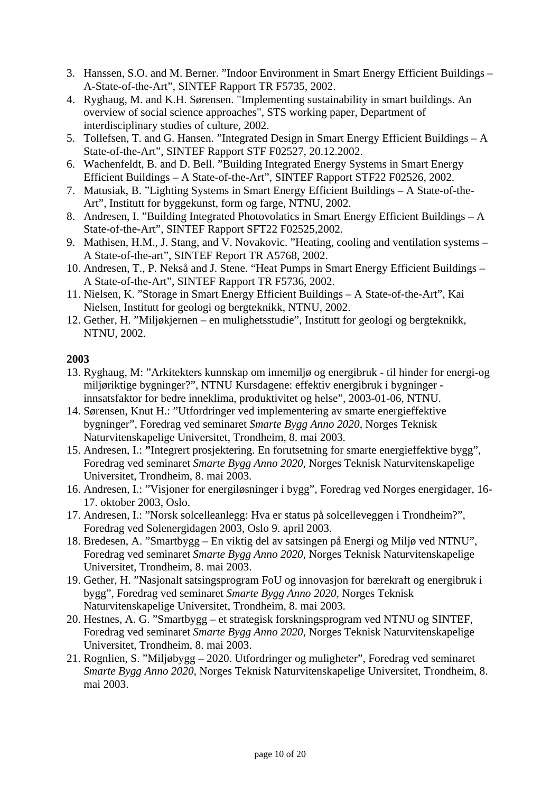- 3. Hanssen, S.O. and M. Berner. "Indoor Environment in Smart Energy Efficient Buildings A-State-of-the-Art", SINTEF Rapport TR F5735, 2002.
- 4. Ryghaug, M. and K.H. Sørensen. "Implementing sustainability in smart buildings. An overview of social science approaches", STS working paper, Department of interdisciplinary studies of culture, 2002.
- 5. Tollefsen, T. and G. Hansen. "Integrated Design in Smart Energy Efficient Buildings A State-of-the-Art", SINTEF Rapport STF F02527, 20.12.2002.
- 6. Wachenfeldt, B. and D. Bell. "Building Integrated Energy Systems in Smart Energy Efficient Buildings – A State-of-the-Art", SINTEF Rapport STF22 F02526, 2002.
- 7. Matusiak, B. "Lighting Systems in Smart Energy Efficient Buildings A State-of-the-Art", Institutt for byggekunst, form og farge, NTNU, 2002.
- 8. Andresen, I. "Building Integrated Photovolatics in Smart Energy Efficient Buildings A State-of-the-Art", SINTEF Rapport SFT22 F02525,2002.
- 9. Mathisen, H.M., J. Stang, and V. Novakovic. "Heating, cooling and ventilation systems A State-of-the-art", SINTEF Report TR A5768, 2002.
- 10. Andresen, T., P. Nekså and J. Stene. "Heat Pumps in Smart Energy Efficient Buildings A State-of-the-Art", SINTEF Rapport TR F5736, 2002.
- 11. Nielsen, K. "Storage in Smart Energy Efficient Buildings A State-of-the-Art", Kai Nielsen, Institutt for geologi og bergteknikk, NTNU, 2002.
- 12. Gether, H. "Miljøkjernen en mulighetsstudie", Institutt for geologi og bergteknikk, NTNU, 2002.

- 13. Ryghaug, M: "Arkitekters kunnskap om innemiljø og energibruk til hinder for energi-og miljøriktige bygninger?", NTNU Kursdagene: effektiv energibruk i bygninger innsatsfaktor for bedre inneklima, produktivitet og helse", 2003-01-06, NTNU.
- 14. Sørensen, Knut H.: "Utfordringer ved implementering av smarte energieffektive bygninger", Foredrag ved seminaret *Smarte Bygg Anno 2020*, Norges Teknisk Naturvitenskapelige Universitet, Trondheim, 8. mai 2003.
- 15. Andresen, I.: **"**Integrert prosjektering. En forutsetning for smarte energieffektive bygg", Foredrag ved seminaret *Smarte Bygg Anno 2020*, Norges Teknisk Naturvitenskapelige Universitet, Trondheim, 8. mai 2003.
- 16. Andresen, I.: "Visjoner for energiløsninger i bygg", Foredrag ved Norges energidager, 16- 17. oktober 2003, Oslo.
- 17. Andresen, I.: "Norsk solcelleanlegg: Hva er status på solcelleveggen i Trondheim?", Foredrag ved Solenergidagen 2003, Oslo 9. april 2003.
- 18. Bredesen, A. "Smartbygg En viktig del av satsingen på Energi og Miljø ved NTNU", Foredrag ved seminaret *Smarte Bygg Anno 2020*, Norges Teknisk Naturvitenskapelige Universitet, Trondheim, 8. mai 2003.
- 19. Gether, H. "Nasjonalt satsingsprogram FoU og innovasjon for bærekraft og energibruk i bygg", Foredrag ved seminaret *Smarte Bygg Anno 2020*, Norges Teknisk Naturvitenskapelige Universitet, Trondheim, 8. mai 2003.
- 20. Hestnes, A. G. "Smartbygg et strategisk forskningsprogram ved NTNU og SINTEF, Foredrag ved seminaret *Smarte Bygg Anno 2020*, Norges Teknisk Naturvitenskapelige Universitet, Trondheim, 8. mai 2003.
- 21. Rognlien, S. "Miljøbygg 2020. Utfordringer og muligheter", Foredrag ved seminaret *Smarte Bygg Anno 2020*, Norges Teknisk Naturvitenskapelige Universitet, Trondheim, 8. mai 2003.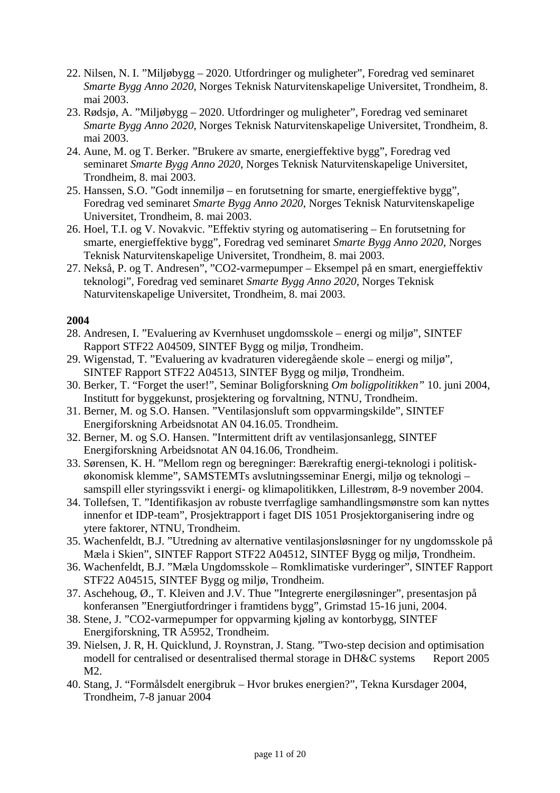- 22. Nilsen, N. I. "Miljøbygg 2020. Utfordringer og muligheter", Foredrag ved seminaret *Smarte Bygg Anno 2020*, Norges Teknisk Naturvitenskapelige Universitet, Trondheim, 8. mai 2003.
- 23. Rødsjø, A. "Miljøbygg 2020. Utfordringer og muligheter", Foredrag ved seminaret *Smarte Bygg Anno 2020*, Norges Teknisk Naturvitenskapelige Universitet, Trondheim, 8. mai 2003.
- 24. Aune, M. og T. Berker. "Brukere av smarte, energieffektive bygg", Foredrag ved seminaret *Smarte Bygg Anno 2020*, Norges Teknisk Naturvitenskapelige Universitet, Trondheim, 8. mai 2003.
- 25. Hanssen, S.O. "Godt innemiljø en forutsetning for smarte, energieffektive bygg", Foredrag ved seminaret *Smarte Bygg Anno 2020*, Norges Teknisk Naturvitenskapelige Universitet, Trondheim, 8. mai 2003.
- 26. Hoel, T.I. og V. Novakvic. "Effektiv styring og automatisering En forutsetning for smarte, energieffektive bygg", Foredrag ved seminaret *Smarte Bygg Anno 2020*, Norges Teknisk Naturvitenskapelige Universitet, Trondheim, 8. mai 2003.
- 27. Nekså, P. og T. Andresen", "CO2-varmepumper Eksempel på en smart, energieffektiv teknologi", Foredrag ved seminaret *Smarte Bygg Anno 2020*, Norges Teknisk Naturvitenskapelige Universitet, Trondheim, 8. mai 2003.

- 28. Andresen, I. "Evaluering av Kvernhuset ungdomsskole energi og miljø", SINTEF Rapport STF22 A04509, SINTEF Bygg og miljø, Trondheim.
- 29. Wigenstad, T. "Evaluering av kvadraturen videregående skole energi og miljø", SINTEF Rapport STF22 A04513, SINTEF Bygg og miljø, Trondheim.
- 30. Berker, T. "Forget the user!", Seminar Boligforskning *Om boligpolitikken"* 10. juni 2004, Institutt for byggekunst, prosjektering og forvaltning, NTNU, Trondheim.
- 31. Berner, M. og S.O. Hansen. "Ventilasjonsluft som oppvarmingskilde", SINTEF Energiforskning Arbeidsnotat AN 04.16.05. Trondheim.
- 32. Berner, M. og S.O. Hansen. "Intermittent drift av ventilasjonsanlegg, SINTEF Energiforskning Arbeidsnotat AN 04.16.06, Trondheim.
- 33. Sørensen, K. H. "Mellom regn og beregninger: Bærekraftig energi-teknologi i politiskøkonomisk klemme", SAMSTEMTs avslutningsseminar Energi, miljø og teknologi – samspill eller styringssvikt i energi- og klimapolitikken, Lillestrøm, 8-9 november 2004.
- 34. Tollefsen, T. "Identifikasjon av robuste tverrfaglige samhandlingsmønstre som kan nyttes innenfor et IDP-team", Prosjektrapport i faget DIS 1051 Prosjektorganisering indre og ytere faktorer, NTNU, Trondheim.
- 35. Wachenfeldt, B.J. "Utredning av alternative ventilasjonsløsninger for ny ungdomsskole på Mæla i Skien", SINTEF Rapport STF22 A04512, SINTEF Bygg og miljø, Trondheim.
- 36. Wachenfeldt, B.J. "Mæla Ungdomsskole Romklimatiske vurderinger", SINTEF Rapport STF22 A04515, SINTEF Bygg og miljø, Trondheim.
- 37. Aschehoug, Ø., T. Kleiven and J.V. Thue "Integrerte energiløsninger", presentasjon på konferansen "Energiutfordringer i framtidens bygg", Grimstad 15-16 juni, 2004.
- 38. Stene, J. "CO2-varmepumper for oppvarming kjøling av kontorbygg, SINTEF Energiforskning, TR A5952, Trondheim.
- 39. Nielsen, J. R, H. Quicklund, J. Roynstran, J. Stang. "Two-step decision and optimisation modell for centralised or desentralised thermal storage in DH&C systems Report 2005 M2.
- 40. Stang, J. "Formålsdelt energibruk Hvor brukes energien?", Tekna Kursdager 2004, Trondheim, 7-8 januar 2004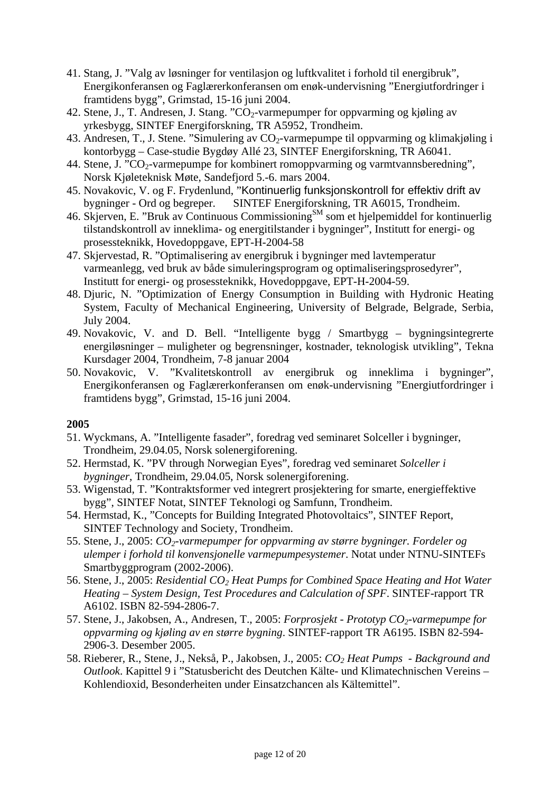- 41. Stang, J. "Valg av løsninger for ventilasjon og luftkvalitet i forhold til energibruk", Energikonferansen og Faglærerkonferansen om enøk-undervisning "Energiutfordringer i framtidens bygg", Grimstad, 15-16 juni 2004.
- 42. Stene, J., T. Andresen, J. Stang. "CO<sub>2</sub>-varmepumper for oppvarming og kjøling av yrkesbygg, SINTEF Energiforskning, TR A5952, Trondheim.
- 43. Andresen, T., J. Stene. "Simulering av  $CO_2$ -varmepumpe til oppvarming og klimakjøling i kontorbygg – Case-studie Bygdøy Allé 23, SINTEF Energiforskning, TR A6041.
- 44. Stene, J. "CO<sub>2</sub>-varmepumpe for kombinert romoppvarming og varmtvannsberedning", Norsk Kjøleteknisk Møte, Sandefjord 5.-6. mars 2004.
- 45. Novakovic, V. og F. Frydenlund, "Kontinuerlig funksjonskontroll for effektiv drift av bygninger - Ord og begreper. SINTEF Energiforskning, TR A6015, Trondheim.
- 46. Skjerven, E. "Bruk av Continuous Commissioning<sup>SM</sup> som et hjelpemiddel for kontinuerlig tilstandskontroll av inneklima- og energitilstander i bygninger", Institutt for energi- og prosessteknikk, Hovedoppgave, EPT-H-2004-58
- 47. Skjervestad, R. "Optimalisering av energibruk i bygninger med lavtemperatur varmeanlegg, ved bruk av både simuleringsprogram og optimaliseringsprosedyrer", Institutt for energi- og prosessteknikk, Hovedoppgave, EPT-H-2004-59.
- 48. Djuric, N. "Optimization of Energy Consumption in Building with Hydronic Heating System, Faculty of Mechanical Engineering, University of Belgrade, Belgrade, Serbia, July 2004.
- 49. Novakovic, V. and D. Bell. "Intelligente bygg / Smartbygg bygningsintegrerte energiløsninger – muligheter og begrensninger, kostnader, teknologisk utvikling", Tekna Kursdager 2004, Trondheim, 7-8 januar 2004
- 50. Novakovic, V. "Kvalitetskontroll av energibruk og inneklima i bygninger", Energikonferansen og Faglærerkonferansen om enøk-undervisning "Energiutfordringer i framtidens bygg", Grimstad, 15-16 juni 2004.

- 51. Wyckmans, A. "Intelligente fasader", foredrag ved seminaret Solceller i bygninger, Trondheim, 29.04.05, Norsk solenergiforening.
- 52. Hermstad, K. "PV through Norwegian Eyes", foredrag ved seminaret *Solceller i bygninger*, Trondheim, 29.04.05, Norsk solenergiforening.
- 53. Wigenstad, T. "Kontraktsformer ved integrert prosjektering for smarte, energieffektive bygg", SINTEF Notat, SINTEF Teknologi og Samfunn, Trondheim.
- 54. Hermstad, K., "Concepts for Building Integrated Photovoltaics", SINTEF Report, SINTEF Technology and Society, Trondheim.
- 55. Stene, J., 2005: *CO2-varmepumper for oppvarming av større bygninger. Fordeler og ulemper i forhold til konvensjonelle varmepumpesystemer*. Notat under NTNU-SINTEFs Smartbyggprogram (2002-2006).
- 56. Stene, J., 2005: *Residential CO2 Heat Pumps for Combined Space Heating and Hot Water Heating – System Design, Test Procedures and Calculation of SPF*. SINTEF-rapport TR A6102. ISBN 82-594-2806-7.
- 57. Stene, J., Jakobsen, A., Andresen, T., 2005: *Forprosjekt Prototyp CO2-varmepumpe for oppvarming og kjøling av en større bygning*. SINTEF-rapport TR A6195. ISBN 82-594- 2906-3. Desember 2005.
- 58. Rieberer, R., Stene, J., Nekså, P., Jakobsen, J., 2005: *CO2 Heat Pumps Background and Outlook*. Kapittel 9 i "Statusbericht des Deutchen Kälte- und Klimatechnischen Vereins – Kohlendioxid, Besonderheiten under Einsatzchancen als Kältemittel".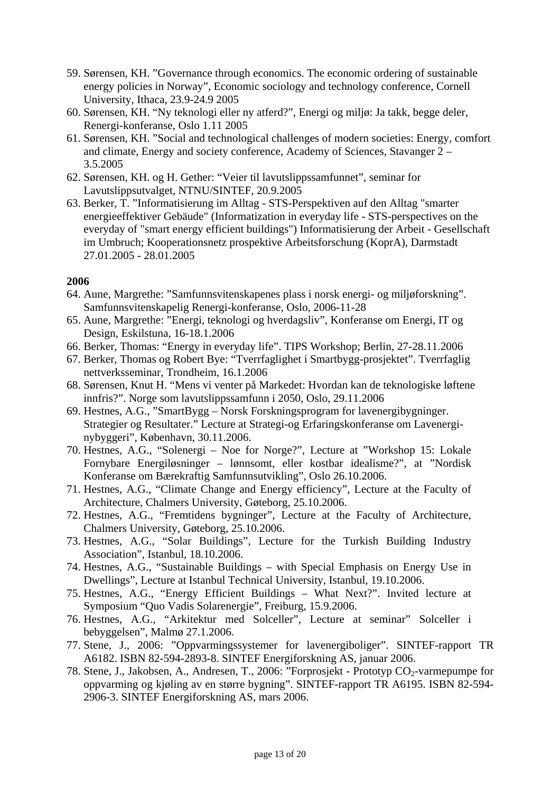- 59. Sørensen, KH. "Governance through economics. The economic ordering of sustainable energy policies in Norway", Economic sociology and technology conference, Cornell University, Ithaca, 23.9-24.9 2005
- 60. Sørensen, KH. "Ny teknologi eller ny atferd?", Energi og miljø: Ja takk, begge deler, Renergi-konferanse, Oslo 1.11 2005
- 61. Sørensen, KH. "Social and technological challenges of modern societies: Energy, comfort and climate, Energy and society conference, Academy of Sciences, Stavanger 2 – 3.5.2005
- 62. Sørensen, KH. og H. Gether: "Veier til lavutslippssamfunnet", seminar for Lavutslippsutvalget, NTNU/SINTEF, 20.9.2005
- 63. Berker, T. "Informatisierung im Alltag STS-Perspektiven auf den Alltag "smarter energieeffektiver Gebäude" (Informatization in everyday life - STS-perspectives on the everyday of "smart energy efficient buildings") Informatisierung der Arbeit - Gesellschaft im Umbruch; Kooperationsnetz prospektive Arbeitsforschung (KoprA), Darmstadt 27.01.2005 - 28.01.2005

- 64. Aune, Margrethe: "Samfunnsvitenskapenes plass i norsk energi- og miljøforskning". Samfunnsvitenskapelig Renergi-konferanse, Oslo, 2006-11-28
- 65. Aune, Margrethe: "Energi, teknologi og hverdagsliv", Konferanse om Energi, IT og Design, Eskilstuna, 16-18.1.2006
- 66. Berker, Thomas: "Energy in everyday life". TIPS Workshop; Berlin, 27-28.11.2006
- 67. Berker, Thomas og Robert Bye: "Tverrfaglighet i Smartbygg-prosjektet". Tverrfaglig nettverksseminar, Trondheim, 16.1.2006
- 68. Sørensen, Knut H. "Mens vi venter på Markedet: Hvordan kan de teknologiske løftene innfris?". Norge som lavutslippssamfunn i 2050, Oslo, 29.11.2006
- 69. Hestnes, A.G., "SmartBygg Norsk Forskningsprogram for lavenergibygninger. Strategier og Resultater." Lecture at Strategi-og Erfaringskonferanse om Lavenerginybyggeri", København, 30.11.2006.
- 70. Hestnes, A.G., "Solenergi Noe for Norge?", Lecture at "Workshop 15: Lokale Fornybare Energiløsninger – lønnsomt, eller kostbar idealisme?", at "Nordisk Konferanse om Bærekraftig Samfunnsutvikling", Oslo 26.10.2006.
- 71. Hestnes, A.G., "Climate Change and Energy efficiency", Lecture at the Faculty of Architecture, Chalmers University, Gøteborg, 25.10.2006.
- 72. Hestnes, A.G., "Fremtidens bygninger", Lecture at the Faculty of Architecture, Chalmers University, Gøteborg, 25.10.2006.
- 73. Hestnes, A.G., "Solar Buildings", Lecture for the Turkish Building Industry Association", Istanbul, 18.10.2006.
- 74. Hestnes, A.G., "Sustainable Buildings with Special Emphasis on Energy Use in Dwellings", Lecture at Istanbul Technical University, Istanbul, 19.10.2006.
- 75. Hestnes, A.G., "Energy Efficient Buildings What Next?". Invited lecture at Symposium "Quo Vadis Solarenergie", Freiburg, 15.9.2006.
- 76. Hestnes, A.G., "Arkitektur med Solceller", Lecture at seminar" Solceller i bebyggelsen", Malmø 27.1.2006.
- 77. Stene, J., 2006: "Oppvarmingssystemer for lavenergiboliger". SINTEF-rapport TR A6182. ISBN 82-594-2893-8. SINTEF Energiforskning AS, januar 2006.
- 78. Stene, J., Jakobsen, A., Andresen, T., 2006: "Forprosjekt Prototyp CO<sub>2</sub>-varmepumpe for oppvarming og kjøling av en større bygning". SINTEF-rapport TR A6195. ISBN 82-594- 2906-3. SINTEF Energiforskning AS, mars 2006.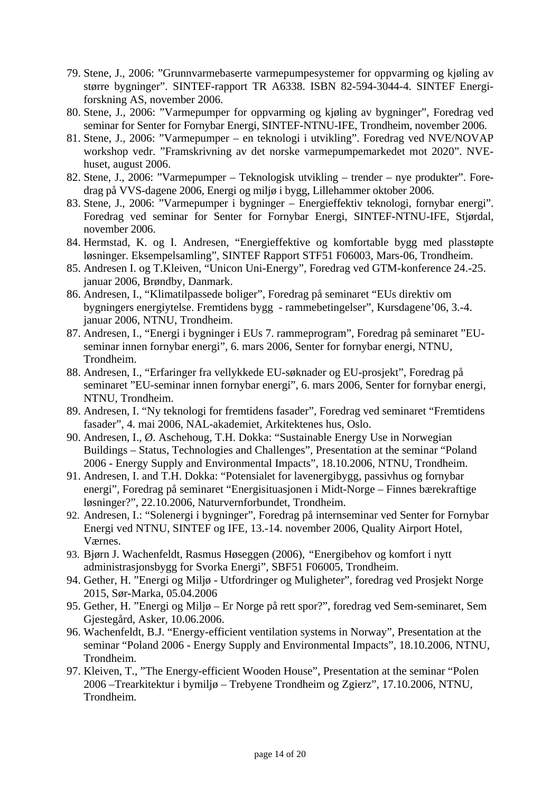- 79. Stene, J., 2006: "Grunnvarmebaserte varmepumpesystemer for oppvarming og kjøling av større bygninger". SINTEF-rapport TR A6338. ISBN 82-594-3044-4. SINTEF Energiforskning AS, november 2006.
- 80. Stene, J., 2006: "Varmepumper for oppvarming og kjøling av bygninger", Foredrag ved seminar for Senter for Fornybar Energi, SINTEF-NTNU-IFE, Trondheim, november 2006.
- 81. Stene, J., 2006: "Varmepumper en teknologi i utvikling". Foredrag ved NVE/NOVAP workshop vedr. "Framskrivning av det norske varmepumpemarkedet mot 2020". NVEhuset, august 2006.
- 82. Stene, J., 2006: "Varmepumper Teknologisk utvikling trender nye produkter". Foredrag på VVS-dagene 2006, Energi og miljø i bygg, Lillehammer oktober 2006.
- 83. Stene, J., 2006: "Varmepumper i bygninger Energieffektiv teknologi, fornybar energi". Foredrag ved seminar for Senter for Fornybar Energi, SINTEF-NTNU-IFE, Stjørdal, november 2006.
- 84. Hermstad, K. og I. Andresen, "Energieffektive og komfortable bygg med plasstøpte løsninger. Eksempelsamling", SINTEF Rapport STF51 F06003, Mars-06, Trondheim.
- 85. Andresen I. og T.Kleiven, "Unicon Uni-Energy", Foredrag ved GTM-konference 24.-25. januar 2006, Brøndby, Danmark.
- 86. Andresen, I., "Klimatilpassede boliger", Foredrag på seminaret "EUs direktiv om bygningers energiytelse. Fremtidens bygg - rammebetingelser", Kursdagene'06, 3.-4. januar 2006, NTNU, Trondheim.
- 87. Andresen, I., "Energi i bygninger i EUs 7. rammeprogram", Foredrag på seminaret "EUseminar innen fornybar energi", 6. mars 2006, Senter for fornybar energi, NTNU, Trondheim.
- 88. Andresen, I., "Erfaringer fra vellykkede EU-søknader og EU-prosjekt", Foredrag på seminaret "EU-seminar innen fornybar energi", 6. mars 2006, Senter for fornybar energi, NTNU, Trondheim.
- 89. Andresen, I. "Ny teknologi for fremtidens fasader", Foredrag ved seminaret "Fremtidens fasader", 4. mai 2006, NAL-akademiet, Arkitektenes hus, Oslo.
- 90. Andresen, I., Ø. Aschehoug, T.H. Dokka: "Sustainable Energy Use in Norwegian Buildings – Status, Technologies and Challenges", Presentation at the seminar "Poland 2006 - Energy Supply and Environmental Impacts", 18.10.2006, NTNU, Trondheim.
- 91. Andresen, I. and T.H. Dokka: "Potensialet for lavenergibygg, passivhus og fornybar energi", Foredrag på seminaret "Energisituasjonen i Midt-Norge – Finnes bærekraftige løsninger?", 22.10.2006, Naturvernforbundet, Trondheim.
- 92. Andresen, I.: "Solenergi i bygninger", Foredrag på internseminar ved Senter for Fornybar Energi ved NTNU, SINTEF og IFE, 13.-14. november 2006, Quality Airport Hotel, Værnes.
- 93. Bjørn J. Wachenfeldt, Rasmus Høseggen (2006), *"*Energibehov og komfort i nytt administrasjonsbygg for Svorka Energi"*,* SBF51 F06005, Trondheim.
- 94. Gether, H. "Energi og Miljø Utfordringer og Muligheter", foredrag ved Prosjekt Norge 2015, Sør-Marka, 05.04.2006
- 95. Gether, H. "Energi og Miljø Er Norge på rett spor?", foredrag ved Sem-seminaret, Sem Gjestegård, Asker, 10.06.2006.
- 96. Wachenfeldt, B.J. "Energy-efficient ventilation systems in Norway", Presentation at the seminar "Poland 2006 - Energy Supply and Environmental Impacts", 18.10.2006, NTNU, Trondheim.
- 97. Kleiven, T., "The Energy-efficient Wooden House", Presentation at the seminar "Polen 2006 –Trearkitektur i bymiljø – Trebyene Trondheim og Zgierz", 17.10.2006, NTNU, Trondheim.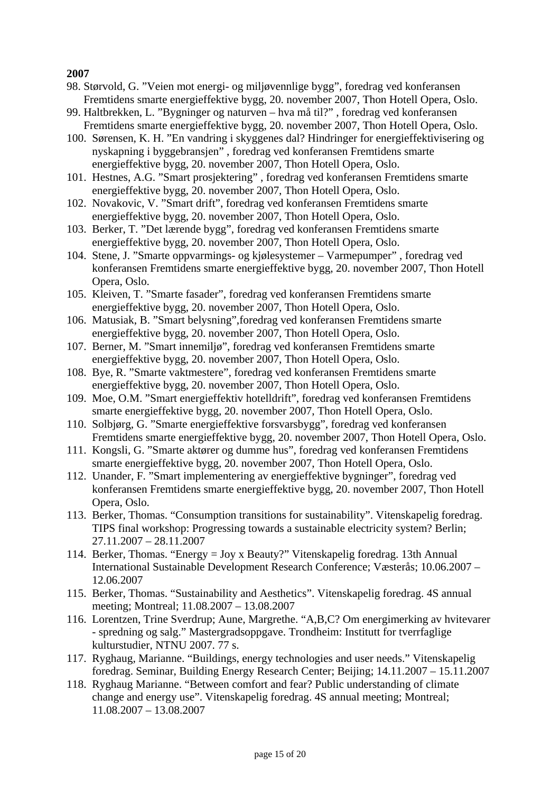- 98. Størvold, G. "Veien mot energi- og miljøvennlige bygg", foredrag ved konferansen Fremtidens smarte energieffektive bygg, 20. november 2007, Thon Hotell Opera, Oslo.
- 99. Haltbrekken, L. "Bygninger og naturven hva må til?" , foredrag ved konferansen Fremtidens smarte energieffektive bygg, 20. november 2007, Thon Hotell Opera, Oslo.
- 100. Sørensen, K. H. "En vandring i skyggenes dal? Hindringer for energieffektivisering og nyskapning i byggebransjen" , foredrag ved konferansen Fremtidens smarte energieffektive bygg, 20. november 2007, Thon Hotell Opera, Oslo.
- 101. Hestnes, A.G. "Smart prosjektering" , foredrag ved konferansen Fremtidens smarte energieffektive bygg, 20. november 2007, Thon Hotell Opera, Oslo.
- 102. Novakovic, V. "Smart drift", foredrag ved konferansen Fremtidens smarte energieffektive bygg, 20. november 2007, Thon Hotell Opera, Oslo.
- 103. Berker, T. "Det lærende bygg", foredrag ved konferansen Fremtidens smarte energieffektive bygg, 20. november 2007, Thon Hotell Opera, Oslo.
- 104. Stene, J. "Smarte oppvarmings- og kjølesystemer Varmepumper" , foredrag ved konferansen Fremtidens smarte energieffektive bygg, 20. november 2007, Thon Hotell Opera, Oslo.
- 105. Kleiven, T. "Smarte fasader", foredrag ved konferansen Fremtidens smarte energieffektive bygg, 20. november 2007, Thon Hotell Opera, Oslo.
- 106. Matusiak, B. "Smart belysning",foredrag ved konferansen Fremtidens smarte energieffektive bygg, 20. november 2007, Thon Hotell Opera, Oslo.
- 107. Berner, M. "Smart innemiljø", foredrag ved konferansen Fremtidens smarte energieffektive bygg, 20. november 2007, Thon Hotell Opera, Oslo.
- 108. Bye, R. "Smarte vaktmestere", foredrag ved konferansen Fremtidens smarte energieffektive bygg, 20. november 2007, Thon Hotell Opera, Oslo.
- 109. Moe, O.M. "Smart energieffektiv hotelldrift", foredrag ved konferansen Fremtidens smarte energieffektive bygg, 20. november 2007, Thon Hotell Opera, Oslo.
- 110. Solbjørg, G. "Smarte energieffektive forsvarsbygg", foredrag ved konferansen Fremtidens smarte energieffektive bygg, 20. november 2007, Thon Hotell Opera, Oslo.
- 111. Kongsli, G. "Smarte aktører og dumme hus", foredrag ved konferansen Fremtidens smarte energieffektive bygg, 20. november 2007, Thon Hotell Opera, Oslo.
- 112. Unander, F. "Smart implementering av energieffektive bygninger", foredrag ved konferansen Fremtidens smarte energieffektive bygg, 20. november 2007, Thon Hotell Opera, Oslo.
- 113. Berker, Thomas. "Consumption transitions for sustainability". Vitenskapelig foredrag. TIPS final workshop: Progressing towards a sustainable electricity system? Berlin; 27.11.2007 – 28.11.2007
- 114. Berker, Thomas. "Energy = Joy x Beauty?" Vitenskapelig foredrag. 13th Annual International Sustainable Development Research Conference; Væsterås; 10.06.2007 – 12.06.2007
- 115. Berker, Thomas. "Sustainability and Aesthetics". Vitenskapelig foredrag. 4S annual meeting; Montreal; 11.08.2007 – 13.08.2007
- 116. Lorentzen, Trine Sverdrup; Aune, Margrethe. "A,B,C? Om energimerking av hvitevarer - spredning og salg." Mastergradsoppgave. Trondheim: Institutt for tverrfaglige kulturstudier, NTNU 2007. 77 s.
- 117. Ryghaug, Marianne. "Buildings, energy technologies and user needs." Vitenskapelig foredrag. Seminar, Building Energy Research Center; Beijing; 14.11.2007 – 15.11.2007
- 118. Ryghaug Marianne. "Between comfort and fear? Public understanding of climate change and energy use". Vitenskapelig foredrag. 4S annual meeting; Montreal; 11.08.2007 – 13.08.2007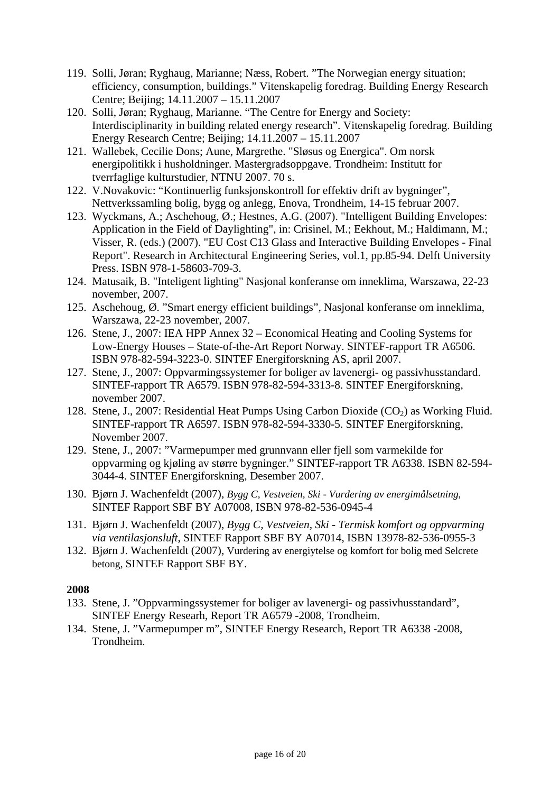- 119. Solli, Jøran; Ryghaug, Marianne; Næss, Robert. "The Norwegian energy situation; efficiency, consumption, buildings." Vitenskapelig foredrag. Building Energy Research Centre; Beijing; 14.11.2007 – 15.11.2007
- 120. Solli, Jøran; Ryghaug, Marianne. "The Centre for Energy and Society: Interdisciplinarity in building related energy research". Vitenskapelig foredrag. Building Energy Research Centre; Beijing; 14.11.2007 – 15.11.2007
- 121. Wallebek, Cecilie Dons; Aune, Margrethe. "Sløsus og Energica". Om norsk energipolitikk i husholdninger. Mastergradsoppgave. Trondheim: Institutt for tverrfaglige kulturstudier, NTNU 2007. 70 s.
- 122. V.Novakovic: "Kontinuerlig funksjonskontroll for effektiv drift av bygninger", Nettverkssamling bolig, bygg og anlegg, Enova, Trondheim, 14-15 februar 2007.
- 123. Wyckmans, A.; Aschehoug, Ø.; Hestnes, A.G. (2007). "Intelligent Building Envelopes: Application in the Field of Daylighting", in: Crisinel, M.; Eekhout, M.; Haldimann, M.; Visser, R. (eds.) (2007). "EU Cost C13 Glass and Interactive Building Envelopes - Final Report". Research in Architectural Engineering Series, vol.1, pp.85-94. Delft University Press. ISBN 978-1-58603-709-3.
- 124. Matusaik, B. "Inteligent lighting" Nasjonal konferanse om inneklima, Warszawa, 22-23 november, 2007.
- 125. Aschehoug, Ø. "Smart energy efficient buildings", Nasjonal konferanse om inneklima, Warszawa, 22-23 november, 2007.
- 126. Stene, J., 2007: IEA HPP Annex 32 Economical Heating and Cooling Systems for Low-Energy Houses – State-of-the-Art Report Norway. SINTEF-rapport TR A6506. ISBN 978-82-594-3223-0. SINTEF Energiforskning AS, april 2007.
- 127. Stene, J., 2007: Oppvarmingssystemer for boliger av lavenergi- og passivhusstandard. SINTEF-rapport TR A6579. ISBN 978-82-594-3313-8. SINTEF Energiforskning, november 2007.
- 128. Stene, J., 2007: Residential Heat Pumps Using Carbon Dioxide  $(CO<sub>2</sub>)$  as Working Fluid. SINTEF-rapport TR A6597. ISBN 978-82-594-3330-5. SINTEF Energiforskning, November 2007.
- 129. Stene, J., 2007: "Varmepumper med grunnvann eller fjell som varmekilde for oppvarming og kjøling av større bygninger." SINTEF-rapport TR A6338. ISBN 82-594- 3044-4. SINTEF Energiforskning, Desember 2007.
- 130. Bjørn J. Wachenfeldt (2007), *Bygg C, Vestveien, Ski Vurdering av energimålsetning*, SINTEF Rapport SBF BY A07008, ISBN 978-82-536-0945-4
- 131. Bjørn J. Wachenfeldt (2007), *Bygg C, Vestveien, Ski Termisk komfort og oppvarming via ventilasjonsluft*, SINTEF Rapport SBF BY A07014, ISBN 13978-82-536-0955-3
- 132. Bjørn J. Wachenfeldt (2007), Vurdering av energiytelse og komfort for bolig med Selcrete betong, SINTEF Rapport SBF BY.

- 133. Stene, J. "Oppvarmingssystemer for boliger av lavenergi- og passivhusstandard", SINTEF Energy Researh, Report TR A6579 -2008, Trondheim.
- 134. Stene, J. "Varmepumper m", SINTEF Energy Research, Report TR A6338 -2008, Trondheim.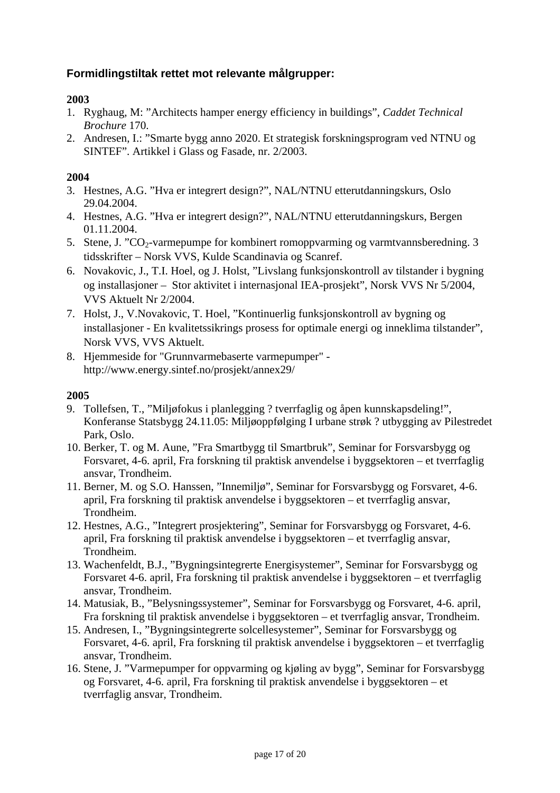# **Formidlingstiltak rettet mot relevante målgrupper:**

## **2003**

- 1. Ryghaug, M: "Architects hamper energy efficiency in buildings", *Caddet Technical Brochure* 170.
- 2. Andresen, I.: "Smarte bygg anno 2020. Et strategisk forskningsprogram ved NTNU og SINTEF". Artikkel i Glass og Fasade, nr. 2/2003.

### **2004**

- 3. Hestnes, A.G. "Hva er integrert design?", NAL/NTNU etterutdanningskurs, Oslo 29.04.2004.
- 4. Hestnes, A.G. "Hva er integrert design?", NAL/NTNU etterutdanningskurs, Bergen 01.11.2004.
- 5. Stene, J. "CO<sub>2</sub>-varmepumpe for kombinert romoppvarming og varmtvannsberedning. 3 tidsskrifter – Norsk VVS, Kulde Scandinavia og Scanref.
- 6. Novakovic, J., T.I. Hoel, og J. Holst, "Livslang funksjonskontroll av tilstander i bygning og installasjoner – Stor aktivitet i internasjonal IEA-prosjekt", Norsk VVS Nr 5/2004, VVS Aktuelt Nr 2/2004.
- 7. Holst, J., V.Novakovic, T. Hoel, "Kontinuerlig funksjonskontroll av bygning og installasjoner - En kvalitetssikrings prosess for optimale energi og inneklima tilstander", Norsk VVS, VVS Aktuelt.
- 8. Hjemmeside for "Grunnvarmebaserte varmepumper" http://www.energy.sintef.no/prosjekt/annex29/

- 9. Tollefsen, T., "Miljøfokus i planlegging ? tverrfaglig og åpen kunnskapsdeling!", Konferanse Statsbygg 24.11.05: Miljøoppfølging I urbane strøk ? utbygging av Pilestredet Park, Oslo.
- 10. Berker, T. og M. Aune, "Fra Smartbygg til Smartbruk", Seminar for Forsvarsbygg og Forsvaret, 4-6. april, Fra forskning til praktisk anvendelse i byggsektoren – et tverrfaglig ansvar, Trondheim.
- 11. Berner, M. og S.O. Hanssen, "Innemiljø", Seminar for Forsvarsbygg og Forsvaret, 4-6. april, Fra forskning til praktisk anvendelse i byggsektoren – et tverrfaglig ansvar, Trondheim.
- 12. Hestnes, A.G., "Integrert prosjektering", Seminar for Forsvarsbygg og Forsvaret, 4-6. april, Fra forskning til praktisk anvendelse i byggsektoren – et tverrfaglig ansvar, Trondheim.
- 13. Wachenfeldt, B.J., "Bygningsintegrerte Energisystemer", Seminar for Forsvarsbygg og Forsvaret 4-6. april, Fra forskning til praktisk anvendelse i byggsektoren – et tverrfaglig ansvar, Trondheim.
- 14. Matusiak, B., "Belysningssystemer", Seminar for Forsvarsbygg og Forsvaret, 4-6. april, Fra forskning til praktisk anvendelse i byggsektoren – et tverrfaglig ansvar, Trondheim.
- 15. Andresen, I., "Bygningsintegrerte solcellesystemer", Seminar for Forsvarsbygg og Forsvaret, 4-6. april, Fra forskning til praktisk anvendelse i byggsektoren – et tverrfaglig ansvar, Trondheim.
- 16. Stene, J. "Varmepumper for oppvarming og kjøling av bygg", Seminar for Forsvarsbygg og Forsvaret, 4-6. april, Fra forskning til praktisk anvendelse i byggsektoren – et tverrfaglig ansvar, Trondheim.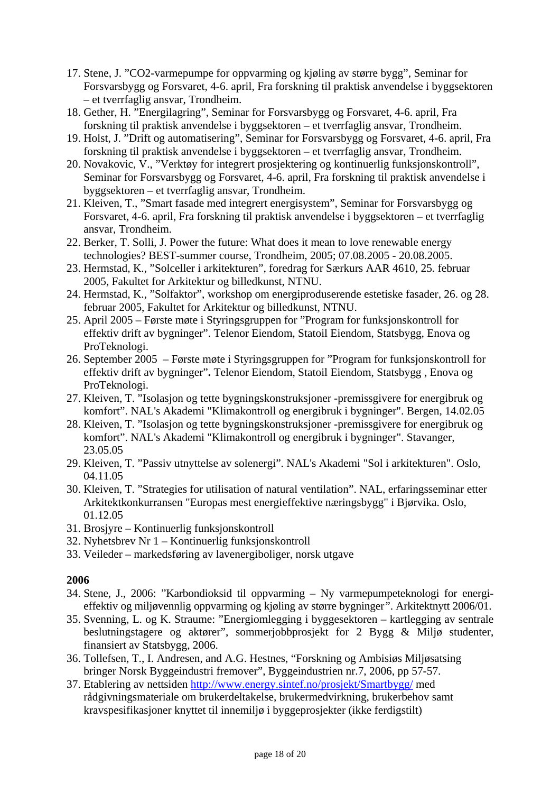- 17. Stene, J. "CO2-varmepumpe for oppvarming og kjøling av større bygg", Seminar for Forsvarsbygg og Forsvaret, 4-6. april, Fra forskning til praktisk anvendelse i byggsektoren – et tverrfaglig ansvar, Trondheim.
- 18. Gether, H. "Energilagring", Seminar for Forsvarsbygg og Forsvaret, 4-6. april, Fra forskning til praktisk anvendelse i byggsektoren – et tverrfaglig ansvar, Trondheim.
- 19. Holst, J. "Drift og automatisering", Seminar for Forsvarsbygg og Forsvaret, 4-6. april, Fra forskning til praktisk anvendelse i byggsektoren – et tverrfaglig ansvar, Trondheim.
- 20. Novakovic, V., "Verktøy for integrert prosjektering og kontinuerlig funksjonskontroll", Seminar for Forsvarsbygg og Forsvaret, 4-6. april, Fra forskning til praktisk anvendelse i byggsektoren – et tverrfaglig ansvar, Trondheim.
- 21. Kleiven, T., "Smart fasade med integrert energisystem", Seminar for Forsvarsbygg og Forsvaret, 4-6. april, Fra forskning til praktisk anvendelse i byggsektoren – et tverrfaglig ansvar, Trondheim.
- 22. Berker, T. Solli, J. Power the future: What does it mean to love renewable energy technologies? BEST-summer course, Trondheim, 2005; 07.08.2005 - 20.08.2005.
- 23. Hermstad, K., "Solceller i arkitekturen", foredrag for Særkurs AAR 4610, 25. februar 2005, Fakultet for Arkitektur og billedkunst, NTNU.
- 24. Hermstad, K., "Solfaktor", workshop om energiproduserende estetiske fasader, 26. og 28. februar 2005, Fakultet for Arkitektur og billedkunst, NTNU.
- 25. April 2005 Første møte i Styringsgruppen for "Program for funksjonskontroll for effektiv drift av bygninger". Telenor Eiendom, Statoil Eiendom, Statsbygg, Enova og ProTeknologi.
- 26. September 2005 Første møte i Styringsgruppen for "Program for funksjonskontroll for effektiv drift av bygninger"**.** Telenor Eiendom, Statoil Eiendom, Statsbygg , Enova og ProTeknologi.
- 27. Kleiven, T. "Isolasjon og tette bygningskonstruksjoner -premissgivere for energibruk og komfort". NAL's Akademi "Klimakontroll og energibruk i bygninger". Bergen, 14.02.05
- 28. Kleiven, T. "Isolasjon og tette bygningskonstruksjoner -premissgivere for energibruk og komfort". NAL's Akademi "Klimakontroll og energibruk i bygninger". Stavanger, 23.05.05
- 29. Kleiven, T. "Passiv utnyttelse av solenergi". NAL's Akademi "Sol i arkitekturen". Oslo, 04.11.05
- 30. Kleiven, T. "Strategies for utilisation of natural ventilation". NAL, erfaringsseminar etter Arkitektkonkurransen "Europas mest energieffektive næringsbygg" i Bjørvika. Oslo, 01.12.05
- 31. Brosjyre Kontinuerlig funksjonskontroll
- 32. Nyhetsbrev Nr 1 Kontinuerlig funksjonskontroll
- 33. Veileder markedsføring av lavenergiboliger, norsk utgave

- 34. Stene, J., 2006: "Karbondioksid til oppvarming Ny varmepumpeteknologi for energieffektiv og miljøvennlig oppvarming og kjøling av større bygninger*"*. Arkitektnytt 2006/01.
- 35. Svenning, L. og K. Straume: "Energiomlegging i byggesektoren kartlegging av sentrale beslutningstagere og aktører", sommerjobbprosjekt for 2 Bygg & Miljø studenter, finansiert av Statsbygg, 2006.
- 36. Tollefsen, T., I. Andresen, and A.G. Hestnes, "Forskning og Ambisiøs Miljøsatsing bringer Norsk Byggeindustri fremover", Byggeindustrien nr.7, 2006, pp 57-57.
- 37. Etablering av nettsiden http://www.energy.sintef.no/prosjekt/Smartbygg/ med rådgivningsmateriale om brukerdeltakelse, brukermedvirkning, brukerbehov samt kravspesifikasjoner knyttet til innemiljø i byggeprosjekter (ikke ferdigstilt)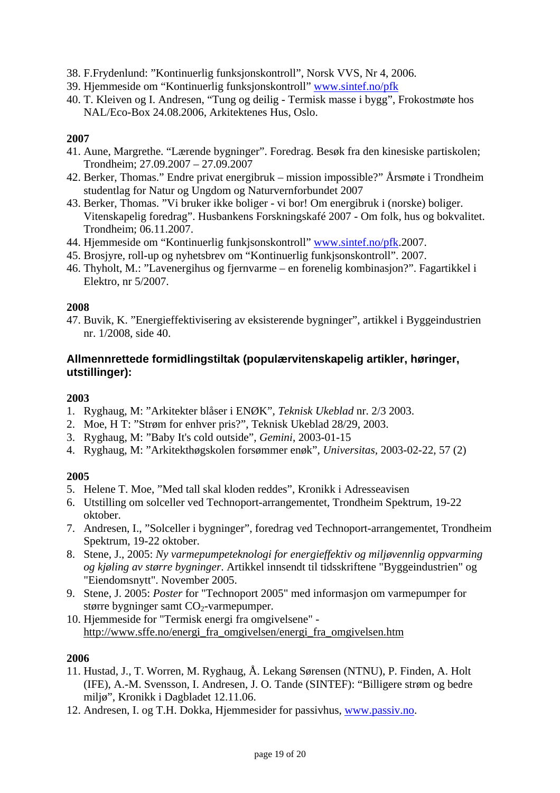- 38. F.Frydenlund: "Kontinuerlig funksjonskontroll", Norsk VVS, Nr 4, 2006.
- 39. Hjemmeside om "Kontinuerlig funksjonskontroll" www.sintef.no/pfk
- 40. T. Kleiven og I. Andresen, "Tung og deilig Termisk masse i bygg", Frokostmøte hos NAL/Eco-Box 24.08.2006, Arkitektenes Hus, Oslo.

- 41. Aune, Margrethe. "Lærende bygninger". Foredrag. Besøk fra den kinesiske partiskolen; Trondheim; 27.09.2007 – 27.09.2007
- 42. Berker, Thomas." Endre privat energibruk mission impossible?" Årsmøte i Trondheim studentlag for Natur og Ungdom og Naturvernforbundet 2007
- 43. Berker, Thomas. "Vi bruker ikke boliger vi bor! Om energibruk i (norske) boliger. Vitenskapelig foredrag". Husbankens Forskningskafé 2007 - Om folk, hus og bokvalitet. Trondheim; 06.11.2007.
- 44. Hjemmeside om "Kontinuerlig funkjsonskontroll" www.sintef.no/pfk.2007.
- 45. Brosjyre, roll-up og nyhetsbrev om "Kontinuerlig funkjsonskontroll". 2007.
- 46. Thyholt, M.: "Lavenergihus og fjernvarme en forenelig kombinasjon?". Fagartikkel i Elektro, nr 5/2007.

### **2008**

47. Buvik, K. "Energieffektivisering av eksisterende bygninger", artikkel i Byggeindustrien nr. 1/2008, side 40.

## **Allmennrettede formidlingstiltak (populærvitenskapelig artikler, høringer, utstillinger):**

### **2003**

- 1. Ryghaug, M: "Arkitekter blåser i ENØK", *Teknisk Ukeblad* nr. 2/3 2003.
- 2. Moe, H T: "Strøm for enhver pris?", Teknisk Ukeblad 28/29, 2003.
- 3. Ryghaug, M: "Baby It's cold outside", *Gemini*, 2003-01-15
- 4. Ryghaug, M: "Arkitekthøgskolen forsømmer enøk", *Universitas,* 2003-02-22, 57 (2)

# **2005**

- 5. Helene T. Moe, "Med tall skal kloden reddes", Kronikk i Adresseavisen
- 6. Utstilling om solceller ved Technoport-arrangementet, Trondheim Spektrum, 19-22 oktober.
- 7. Andresen, I., "Solceller i bygninger", foredrag ved Technoport-arrangementet, Trondheim Spektrum, 19-22 oktober.
- 8. Stene, J., 2005: *Ny varmepumpeteknologi for energieffektiv og miljøvennlig oppvarming og kjøling av større bygninger*. Artikkel innsendt til tidsskriftene "Byggeindustrien" og "Eiendomsnytt". November 2005.
- 9. Stene, J. 2005: *Poster* for "Technoport 2005" med informasjon om varmepumper for større bygninger samt CO<sub>2</sub>-varmepumper.
- 10. Hjemmeside for "Termisk energi fra omgivelsene" http://www.sffe.no/energi\_fra\_omgivelsen/energi\_fra\_omgivelsen.htm

- 11. Hustad, J., T. Worren, M. Ryghaug, Å. Lekang Sørensen (NTNU), P. Finden, A. Holt (IFE), A.-M. Svensson, I. Andresen, J. O. Tande (SINTEF): "Billigere strøm og bedre miljø", Kronikk i Dagbladet 12.11.06.
- 12. Andresen, I. og T.H. Dokka, Hjemmesider for passivhus, www.passiv.no.